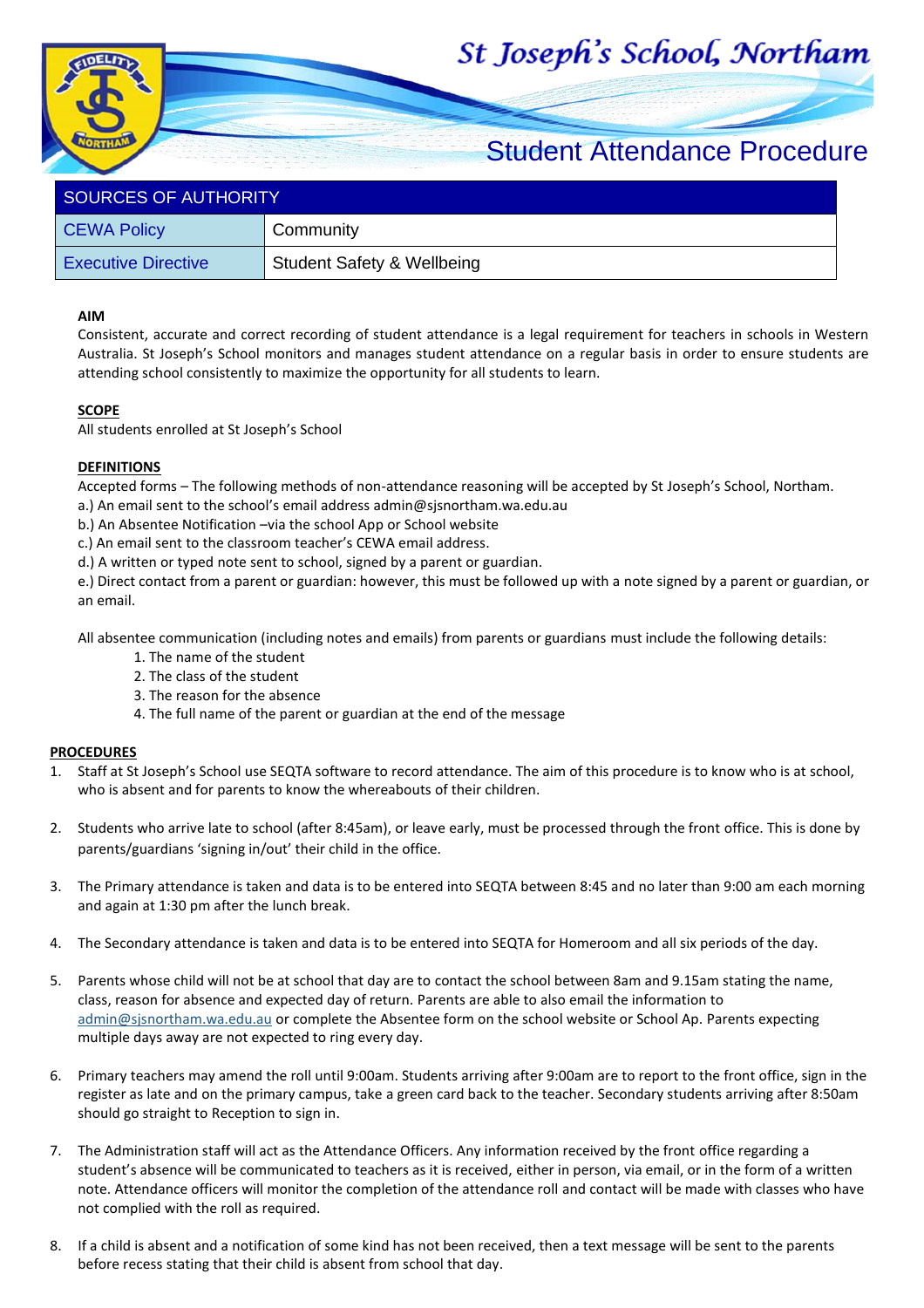# St Joseph's School, Northam



## Student Attendance Procedure

| <b>SOURCES OF AUTHORITY</b> |                                       |  |  |
|-----------------------------|---------------------------------------|--|--|
| <b>CEWA Policy</b>          | Community                             |  |  |
| <b>Executive Directive</b>  | <b>Student Safety &amp; Wellbeing</b> |  |  |

#### **AIM**

Consistent, accurate and correct recording of student attendance is a legal requirement for teachers in schools in Western Australia. St Joseph's School monitors and manages student attendance on a regular basis in order to ensure students are attending school consistently to maximize the opportunity for all students to learn.

#### **SCOPE**

All students enrolled at St Joseph's School

### **DEFINITIONS**

Accepted forms – The following methods of non-attendance reasoning will be accepted by St Joseph's School, Northam.

a.) An email sent to the school's email address admin@sjsnortham.wa.edu.au

b.) An Absentee Notification –via the school App or School website

c.) An email sent to the classroom teacher's CEWA email address.

d.) A written or typed note sent to school, signed by a parent or guardian.

e.) Direct contact from a parent or guardian: however, this must be followed up with a note signed by a parent or guardian, or an email.

All absentee communication (including notes and emails) from parents or guardians must include the following details:

- 1. The name of the student
- 2. The class of the student
- 3. The reason for the absence
- 4. The full name of the parent or guardian at the end of the message

#### **PROCEDURES**

- 1. Staff at St Joseph's School use SEQTA software to record attendance. The aim of this procedure is to know who is at school, who is absent and for parents to know the whereabouts of their children.
- 2. Students who arrive late to school (after 8:45am), or leave early, must be processed through the front office. This is done by parents/guardians 'signing in/out' their child in the office.
- 3. The Primary attendance is taken and data is to be entered into SEQTA between 8:45 and no later than 9:00 am each morning and again at 1:30 pm after the lunch break.
- 4. The Secondary attendance is taken and data is to be entered into SEQTA for Homeroom and all six periods of the day.
- 5. Parents whose child will not be at school that day are to contact the school between 8am and 9.15am stating the name, class, reason for absence and expected day of return. Parents are able to also email the information to [admin@sjsnortham.wa.edu.au](mailto:admin@sjsnortham.wa.edu.au) or complete the Absentee form on the school website or School Ap. Parents expecting multiple days away are not expected to ring every day.
- 6. Primary teachers may amend the roll until 9:00am. Students arriving after 9:00am are to report to the front office, sign in the register as late and on the primary campus, take a green card back to the teacher. Secondary students arriving after 8:50am should go straight to Reception to sign in.
- 7. The Administration staff will act as the Attendance Officers. Any information received by the front office regarding a student's absence will be communicated to teachers as it is received, either in person, via email, or in the form of a written note. Attendance officers will monitor the completion of the attendance roll and contact will be made with classes who have not complied with the roll as required.
- 8. If a child is absent and a notification of some kind has not been received, then a text message will be sent to the parents before recess stating that their child is absent from school that day.